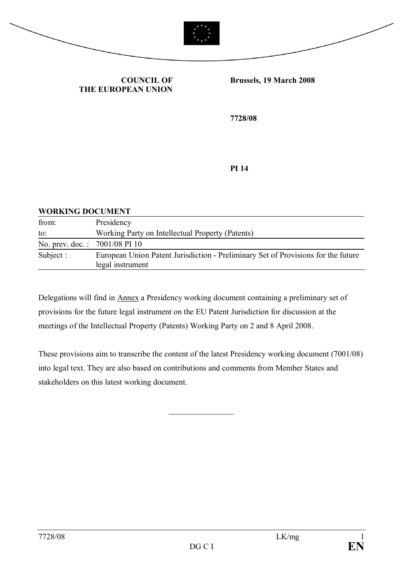



**COUNCIL OF THE EUROPEAN UNION** **Brussels, 19 March 2008**

**7728/08**

**PI 14**

### **WORKING DOCUMENT** from: Presidency to: Working Party on Intellectual Property (Patents) No. prev. doc. : 7001/08 PI 10 Subject : European Union Patent Jurisdiction - Preliminary Set of Provisions for the future legal instrument

Delegations will find in Annex a Presidency working document containing a preliminary set of provisions for the future legal instrument on the EU Patent Jurisdiction for discussion at the meetings of the Intellectual Property (Patents) Working Party on 2 and 8 April 2008.

These provisions aim to transcribe the content of the latest Presidency working document (7001/08) into legal text. They are also based on contributions and comments from Member States and stakeholders on this latest working document.

 $\frac{1}{2}$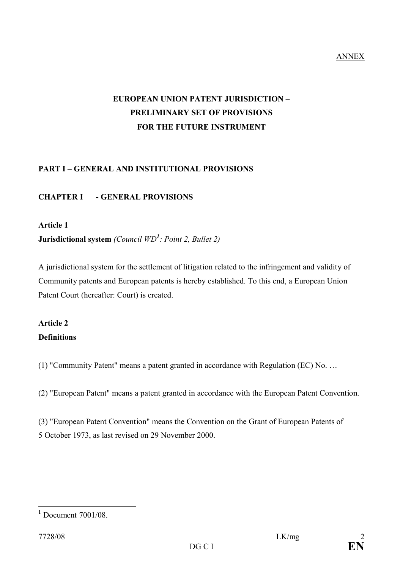ANNEX

# **EUROPEAN UNION PATENT JURISDICTION – PRELIMINARY SET OF PROVISIONS FOR THE FUTURE INSTRUMENT**

#### **PART I – GENERAL AND INSTITUTIONAL PROVISIONS**

#### **CHAPTER I - GENERAL PROVISIONS**

#### **Article 1**

**Jurisdictional system** *(Council WD<sup>1</sup> : Point 2, Bullet 2)*

A jurisdictional system for the settlement of litigation related to the infringement and validity of Community patents and European patents is hereby established. To this end, a European Union Patent Court (hereafter: Court) is created.

## **Article 2 Definitions**

(1) "Community Patent" means a patent granted in accordance with Regulation (EC) No. …

(2) "European Patent" means a patent granted in accordance with the European Patent Convention.

(3) "European Patent Convention" means the Convention on the Grant of European Patents of 5 October 1973, as last revised on 29 November 2000.

**<sup>1</sup>** Document 7001/08.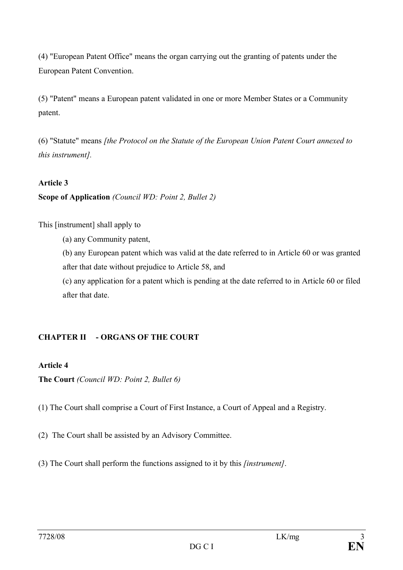(4) "European Patent Office" means the organ carrying out the granting of patents under the European Patent Convention.

(5) "Patent" means a European patent validated in one or more Member States or a Community patent.

(6) "Statute" means *[the Protocol on the Statute of the European Union Patent Court annexed to this instrument].*

#### **Article 3**

#### **Scope of Application** *(Council WD: Point 2, Bullet 2)*

This [instrument] shall apply to

(a) any Community patent,

(b) any European patent which was valid at the date referred to in Article 60 or was granted after that date without prejudice to Article 58, and

(c) any application for a patent which is pending at the date referred to in Article 60 or filed after that date.

#### **CHAPTER II - ORGANS OF THE COURT**

#### **Article 4**

**The Court** *(Council WD: Point 2, Bullet 6)*

(1) The Court shall comprise a Court of First Instance, a Court of Appeal and a Registry.

(2) The Court shall be assisted by an Advisory Committee.

(3) The Court shall perform the functions assigned to it by this *[instrument]*.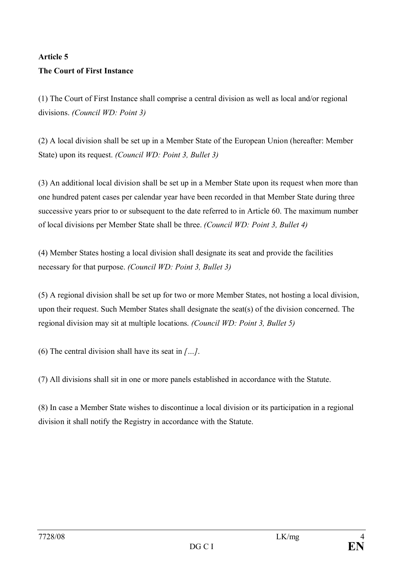# **Article 5 The Court of First Instance**

(1) The Court of First Instance shall comprise a central division as well as local and/or regional divisions. *(Council WD: Point 3)*

(2) A local division shall be set up in a Member State of the European Union (hereafter: Member State) upon its request. *(Council WD: Point 3, Bullet 3)*

(3) An additional local division shall be set up in a Member State upon its request when more than one hundred patent cases per calendar year have been recorded in that Member State during three successive years prior to or subsequent to the date referred to in Article 60. The maximum number of local divisions per Member State shall be three. *(Council WD: Point 3, Bullet 4)*

(4) Member States hosting a local division shall designate its seat and provide the facilities necessary for that purpose. *(Council WD: Point 3, Bullet 3)*

(5) A regional division shall be set up for two or more Member States, not hosting a local division, upon their request. Such Member States shall designate the seat(s) of the division concerned. The regional division may sit at multiple locations. *(Council WD: Point 3, Bullet 5)*

(6) The central division shall have its seat in *[…]*.

(7) All divisions shall sit in one or more panels established in accordance with the Statute.

(8) In case a Member State wishes to discontinue a local division or its participation in a regional division it shall notify the Registry in accordance with the Statute.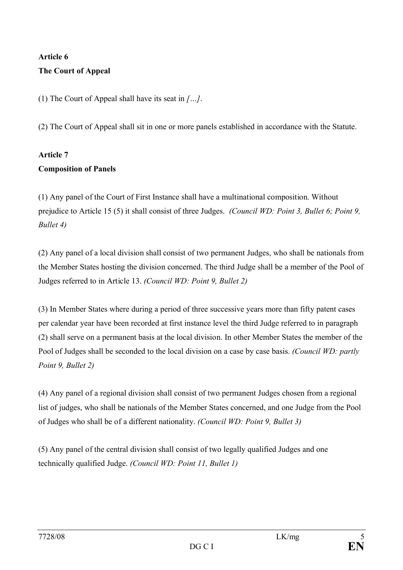# **Article 6 The Court of Appeal**

(1) The Court of Appeal shall have its seat in *[…]*.

(2) The Court of Appeal shall sit in one or more panels established in accordance with the Statute.

## **Article 7 Composition of Panels**

(1) Any panel of the Court of First Instance shall have a multinational composition. Without prejudice to Article 15 (5) it shall consist of three Judges. *(Council WD: Point 3, Bullet 6; Point 9, Bullet 4)*

(2) Any panel of a local division shall consist of two permanent Judges, who shall be nationals from the Member States hosting the division concerned. The third Judge shall be a member of the Pool of Judges referred to in Article 13. *(Council WD: Point 9, Bullet 2)*

(3) In Member States where during a period of three successive years more than fifty patent cases per calendar year have been recorded at first instance level the third Judge referred to in paragraph (2) shall serve on a permanent basis at the local division. In other Member States the member of the Pool of Judges shall be seconded to the local division on a case by case basis. *(Council WD: partly Point 9, Bullet 2)*

(4) Any panel of a regional division shall consist of two permanent Judges chosen from a regional list of judges, who shall be nationals of the Member States concerned, and one Judge from the Pool of Judges who shall be of a different nationality. *(Council WD: Point 9, Bullet 3)*

(5) Any panel of the central division shall consist of two legally qualified Judges and one technically qualified Judge. *(Council WD: Point 11, Bullet 1)*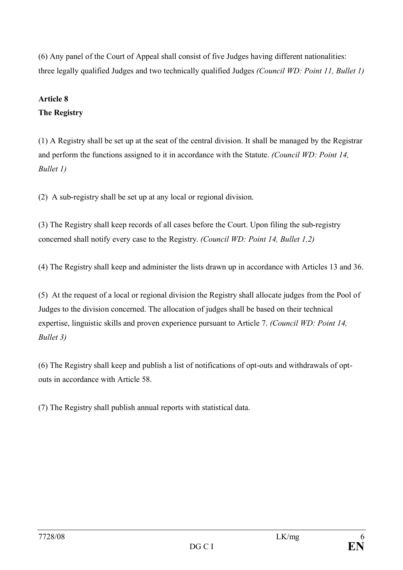(6) Any panel of the Court of Appeal shall consist of five Judges having different nationalities: three legally qualified Judges and two technically qualified Judges *(Council WD: Point 11, Bullet 1)*

### **Article 8**

### **The Registry**

(1) A Registry shall be set up at the seat of the central division. It shall be managed by the Registrar and perform the functions assigned to it in accordance with the Statute. *(Council WD: Point 14, Bullet 1)*

(2) A sub-registry shall be set up at any local or regional division.

(3) The Registry shall keep records of all cases before the Court. Upon filing the sub-registry concerned shall notify every case to the Registry. *(Council WD: Point 14, Bullet 1,2)*

(4) The Registry shall keep and administer the lists drawn up in accordance with Articles 13 and 36.

(5) At the request of a local or regional division the Registry shall allocate judges from the Pool of Judges to the division concerned. The allocation of judges shall be based on their technical expertise, linguistic skills and proven experience pursuant to Article 7. *(Council WD: Point 14, Bullet 3)*

(6) The Registry shall keep and publish a list of notifications of opt-outs and withdrawals of optouts in accordance with Article 58.

(7) The Registry shall publish annual reports with statistical data.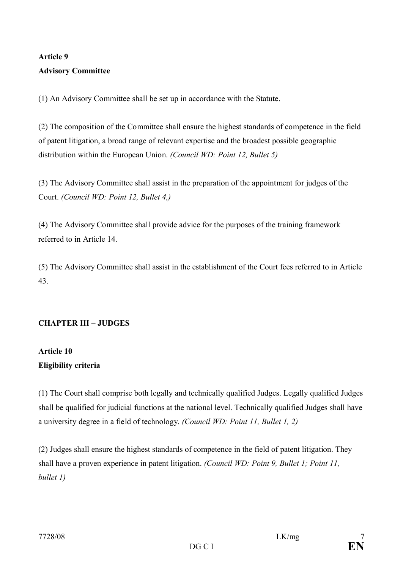# **Article 9 Advisory Committee**

(1) An Advisory Committee shall be set up in accordance with the Statute.

(2) The composition of the Committee shall ensure the highest standards of competence in the field of patent litigation, a broad range of relevant expertise and the broadest possible geographic distribution within the European Union. *(Council WD: Point 12, Bullet 5)*

(3) The Advisory Committee shall assist in the preparation of the appointment for judges of the Court. *(Council WD: Point 12, Bullet 4,)*

(4) The Advisory Committee shall provide advice for the purposes of the training framework referred to in Article 14.

(5) The Advisory Committee shall assist in the establishment of the Court fees referred to in Article 43.

## **CHAPTER III – JUDGES**

## **Article 10 Eligibility criteria**

(1) The Court shall comprise both legally and technically qualified Judges. Legally qualified Judges shall be qualified for judicial functions at the national level. Technically qualified Judges shall have a university degree in a field of technology. *(Council WD: Point 11, Bullet 1, 2)*

(2) Judges shall ensure the highest standards of competence in the field of patent litigation. They shall have a proven experience in patent litigation. *(Council WD: Point 9, Bullet 1; Point 11, bullet 1)*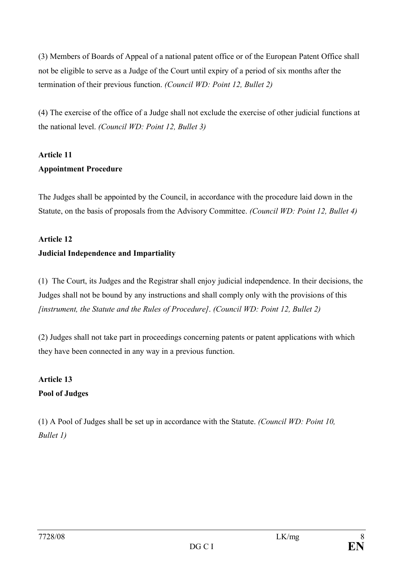(3) Members of Boards of Appeal of a national patent office or of the European Patent Office shall not be eligible to serve as a Judge of the Court until expiry of a period of six months after the termination of their previous function. *(Council WD: Point 12, Bullet 2)*

(4) The exercise of the office of a Judge shall not exclude the exercise of other judicial functions at the national level. *(Council WD: Point 12, Bullet 3)*

## **Article 11 Appointment Procedure**

The Judges shall be appointed by the Council, in accordance with the procedure laid down in the Statute, on the basis of proposals from the Advisory Committee. *(Council WD: Point 12, Bullet 4)*

# **Article 12 Judicial Independence and Impartiality**

(1) The Court, its Judges and the Registrar shall enjoy judicial independence. In their decisions, the Judges shall not be bound by any instructions and shall comply only with the provisions of this *[instrument, the Statute and the Rules of Procedure]*. *(Council WD: Point 12, Bullet 2)*

(2) Judges shall not take part in proceedings concerning patents or patent applications with which they have been connected in any way in a previous function.

## **Article 13 Pool of Judges**

(1) A Pool of Judges shall be set up in accordance with the Statute. *(Council WD: Point 10, Bullet 1)*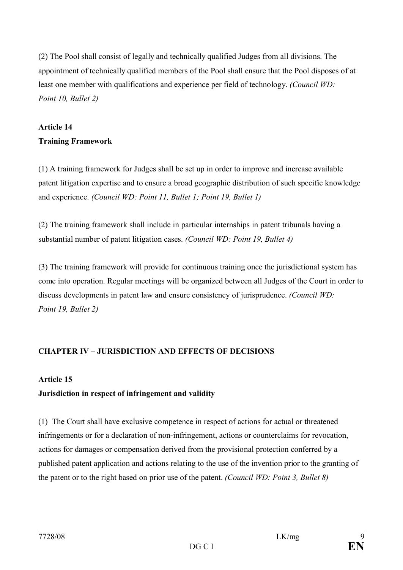(2) The Pool shall consist of legally and technically qualified Judges from all divisions. The appointment of technically qualified members of the Pool shall ensure that the Pool disposes of at least one member with qualifications and experience per field of technology. *(Council WD: Point 10, Bullet 2)*

# **Article 14 Training Framework**

(1) A training framework for Judges shall be set up in order to improve and increase available patent litigation expertise and to ensure a broad geographic distribution of such specific knowledge and experience. *(Council WD: Point 11, Bullet 1; Point 19, Bullet 1)*

(2) The training framework shall include in particular internships in patent tribunals having a substantial number of patent litigation cases. *(Council WD: Point 19, Bullet 4)*

(3) The training framework will provide for continuous training once the jurisdictional system has come into operation. Regular meetings will be organized between all Judges of the Court in order to discuss developments in patent law and ensure consistency of jurisprudence. *(Council WD: Point 19, Bullet 2)*

## **CHAPTER IV – JURISDICTION AND EFFECTS OF DECISIONS**

#### **Article 15**

## **Jurisdiction in respect of infringement and validity**

(1) The Court shall have exclusive competence in respect of actions for actual or threatened infringements or for a declaration of non-infringement, actions or counterclaims for revocation, actions for damages or compensation derived from the provisional protection conferred by a published patent application and actions relating to the use of the invention prior to the granting of the patent or to the right based on prior use of the patent. *(Council WD: Point 3, Bullet 8)*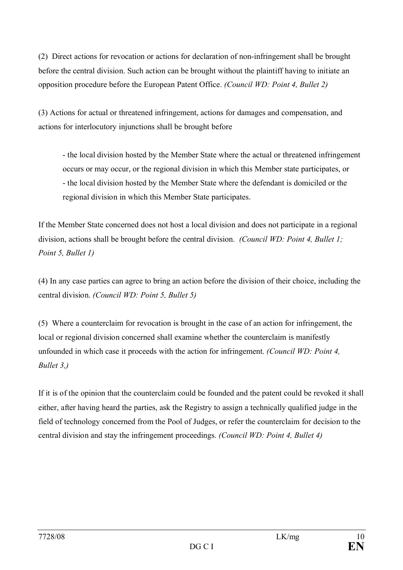(2) Direct actions for revocation or actions for declaration of non-infringement shall be brought before the central division. Such action can be brought without the plaintiff having to initiate an opposition procedure before the European Patent Office. *(Council WD: Point 4, Bullet 2)*

(3) Actions for actual or threatened infringement, actions for damages and compensation, and actions for interlocutory injunctions shall be brought before

- the local division hosted by the Member State where the actual or threatened infringement occurs or may occur, or the regional division in which this Member state participates, or - the local division hosted by the Member State where the defendant is domiciled or the regional division in which this Member State participates.

If the Member State concerned does not host a local division and does not participate in a regional division, actions shall be brought before the central division. *(Council WD: Point 4, Bullet 1; Point 5, Bullet 1)*

(4) In any case parties can agree to bring an action before the division of their choice, including the central division. *(Council WD: Point 5, Bullet 5)*

(5) Where a counterclaim for revocation is brought in the case of an action for infringement, the local or regional division concerned shall examine whether the counterclaim is manifestly unfounded in which case it proceeds with the action for infringement. *(Council WD: Point 4, Bullet 3,)*

If it is of the opinion that the counterclaim could be founded and the patent could be revoked it shall either, after having heard the parties, ask the Registry to assign a technically qualified judge in the field of technology concerned from the Pool of Judges, or refer the counterclaim for decision to the central division and stay the infringement proceedings. *(Council WD: Point 4, Bullet 4)*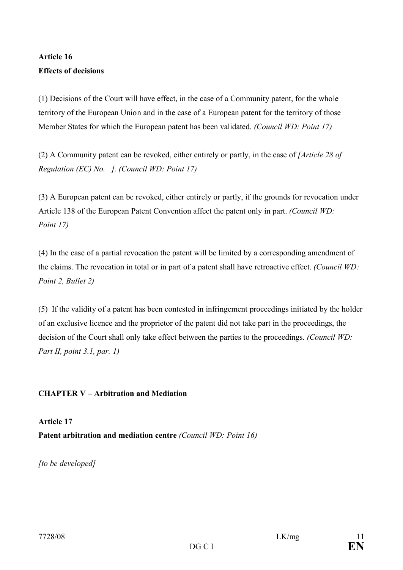## **Article 16 Effects of decisions**

(1) Decisions of the Court will have effect, in the case of a Community patent, for the whole territory of the European Union and in the case of a European patent for the territory of those Member States for which the European patent has been validated. *(Council WD: Point 17)*

(2) A Community patent can be revoked, either entirely or partly, in the case of *[Article 28 of Regulation (EC) No. ]. (Council WD: Point 17)*

(3) A European patent can be revoked, either entirely or partly, if the grounds for revocation under Article 138 of the European Patent Convention affect the patent only in part. *(Council WD: Point 17)*

(4) In the case of a partial revocation the patent will be limited by a corresponding amendment of the claims. The revocation in total or in part of a patent shall have retroactive effect. *(Council WD: Point 2, Bullet 2)*

(5) If the validity of a patent has been contested in infringement proceedings initiated by the holder of an exclusive licence and the proprietor of the patent did not take part in the proceedings, the decision of the Court shall only take effect between the parties to the proceedings. *(Council WD: Part II, point 3.1, par. 1)*

#### **CHAPTER V – Arbitration and Mediation**

**Article 17 Patent arbitration and mediation centre** *(Council WD: Point 16)*

*[to be developed]*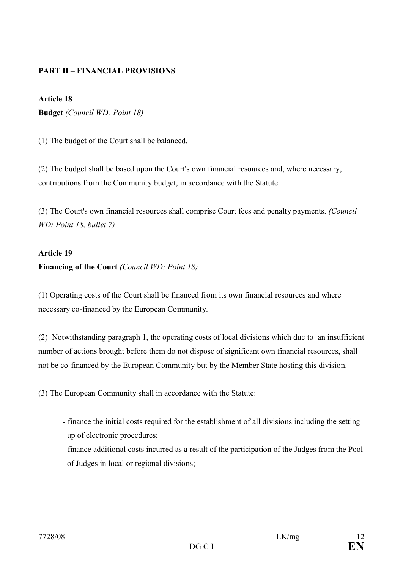#### **PART II – FINANCIAL PROVISIONS**

#### **Article 18**

**Budget** *(Council WD: Point 18)*

(1) The budget of the Court shall be balanced.

(2) The budget shall be based upon the Court's own financial resources and, where necessary, contributions from the Community budget, in accordance with the Statute.

(3) The Court's own financial resources shall comprise Court fees and penalty payments. *(Council WD: Point 18, bullet 7)*

#### **Article 19**

#### **Financing of the Court** *(Council WD: Point 18)*

(1) Operating costs of the Court shall be financed from its own financial resources and where necessary co-financed by the European Community.

(2) Notwithstanding paragraph 1, the operating costs of local divisions which due to an insufficient number of actions brought before them do not dispose of significant own financial resources, shall not be co-financed by the European Community but by the Member State hosting this division.

(3) The European Community shall in accordance with the Statute:

- finance the initial costs required for the establishment of all divisions including the setting up of electronic procedures;
- finance additional costs incurred as a result of the participation of the Judges from the Pool of Judges in local or regional divisions;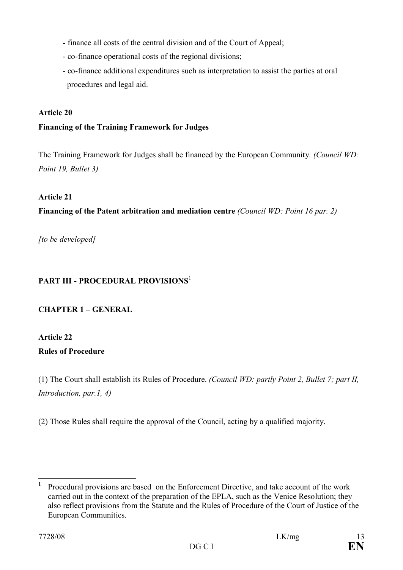- finance all costs of the central division and of the Court of Appeal;
- co-finance operational costs of the regional divisions;
- co-finance additional expenditures such as interpretation to assist the parties at oral procedures and legal aid.

#### **Article 20**

#### **Financing of the Training Framework for Judges**

The Training Framework for Judges shall be financed by the European Community. *(Council WD: Point 19, Bullet 3)*

#### **Article 21**

**Financing of the Patent arbitration and mediation centre** *(Council WD: Point 16 par. 2)*

*[to be developed]*

## **PART III - PROCEDURAL PROVISIONS**<sup>1</sup>

## **CHAPTER 1 – GENERAL**

#### **Article 22**

#### **Rules of Procedure**

(1) The Court shall establish its Rules of Procedure. *(Council WD: partly Point 2, Bullet 7; part II, Introduction, par.1, 4)*

(2) Those Rules shall require the approval of the Council, acting by a qualified majority.

**<sup>1</sup>** Procedural provisions are based on the Enforcement Directive, and take account of the work carried out in the context of the preparation of the EPLA, such as the Venice Resolution; they also reflect provisions from the Statute and the Rules of Procedure of the Court of Justice of the European Communities.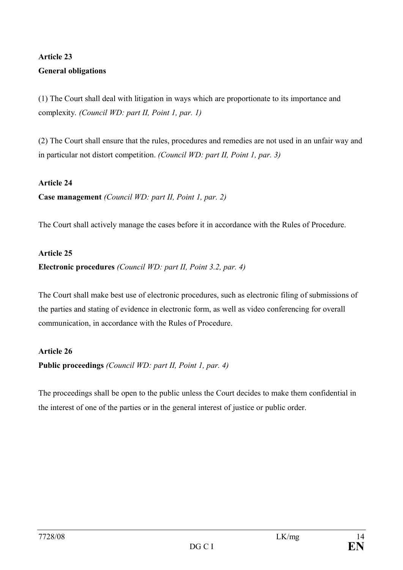## **Article 23 General obligations**

(1) The Court shall deal with litigation in ways which are proportionate to its importance and complexity. *(Council WD: part II, Point 1, par. 1)*

(2) The Court shall ensure that the rules, procedures and remedies are not used in an unfair way and in particular not distort competition. *(Council WD: part II, Point 1, par. 3)*

#### **Article 24**

**Case management** *(Council WD: part II, Point 1, par. 2)*

The Court shall actively manage the cases before it in accordance with the Rules of Procedure.

#### **Article 25**

**Electronic procedures** *(Council WD: part II, Point 3.2, par. 4)*

The Court shall make best use of electronic procedures, such as electronic filing of submissions of the parties and stating of evidence in electronic form, as well as video conferencing for overall communication, in accordance with the Rules of Procedure.

#### **Article 26**

**Public proceedings** *(Council WD: part II, Point 1, par. 4)*

The proceedings shall be open to the public unless the Court decides to make them confidential in the interest of one of the parties or in the general interest of justice or public order.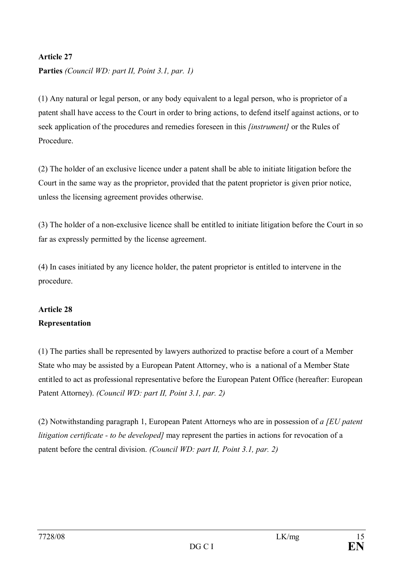#### **Article 27**

**Parties** *(Council WD: part II, Point 3.1, par. 1)*

(1) Any natural or legal person, or any body equivalent to a legal person, who is proprietor of a patent shall have access to the Court in order to bring actions, to defend itself against actions, or to seek application of the procedures and remedies foreseen in this *[instrument]* or the Rules of Procedure.

(2) The holder of an exclusive licence under a patent shall be able to initiate litigation before the Court in the same way as the proprietor, provided that the patent proprietor is given prior notice, unless the licensing agreement provides otherwise.

(3) The holder of a non-exclusive licence shall be entitled to initiate litigation before the Court in so far as expressly permitted by the license agreement.

(4) In cases initiated by any licence holder, the patent proprietor is entitled to intervene in the procedure.

## **Article 28 Representation**

(1) The parties shall be represented by lawyers authorized to practise before a court of a Member State who may be assisted by a European Patent Attorney, who is a national of a Member State entitled to act as professional representative before the European Patent Office (hereafter: European Patent Attorney). *(Council WD: part II, Point 3.1, par. 2)*

(2) Notwithstanding paragraph 1, European Patent Attorneys who are in possession of *a [EU patent litigation certificate - to be developed]* may represent the parties in actions for revocation of a patent before the central division. *(Council WD: part II, Point 3.1, par. 2)*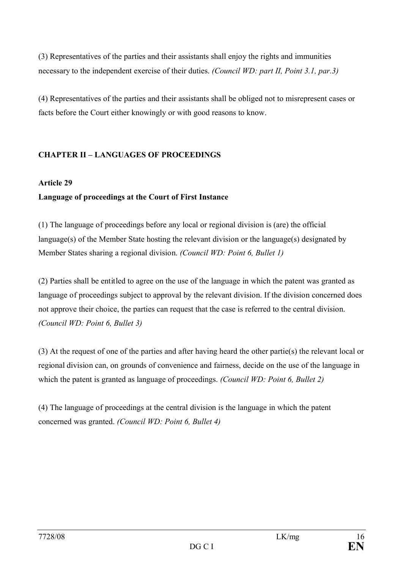(3) Representatives of the parties and their assistants shall enjoy the rights and immunities necessary to the independent exercise of their duties. *(Council WD: part II, Point 3.1, par.3)*

(4) Representatives of the parties and their assistants shall be obliged not to misrepresent cases or facts before the Court either knowingly or with good reasons to know.

#### **CHAPTER II – LANGUAGES OF PROCEEDINGS**

#### **Article 29**

#### **Language of proceedings at the Court of First Instance**

(1) The language of proceedings before any local or regional division is (are) the official language(s) of the Member State hosting the relevant division or the language(s) designated by Member States sharing a regional division. *(Council WD: Point 6, Bullet 1)*

(2) Parties shall be entitled to agree on the use of the language in which the patent was granted as language of proceedings subject to approval by the relevant division. If the division concerned does not approve their choice, the parties can request that the case is referred to the central division. *(Council WD: Point 6, Bullet 3)*

(3) At the request of one of the parties and after having heard the other partie(s) the relevant local or regional division can, on grounds of convenience and fairness, decide on the use of the language in which the patent is granted as language of proceedings. *(Council WD: Point 6, Bullet 2)*

(4) The language of proceedings at the central division is the language in which the patent concerned was granted. *(Council WD: Point 6, Bullet 4)*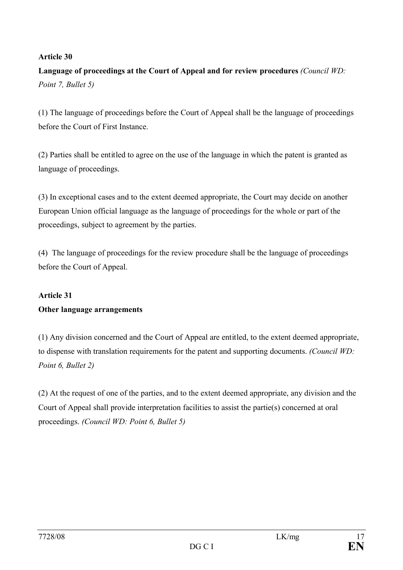#### **Article 30**

**Language of proceedings at the Court of Appeal and for review procedures** *(Council WD: Point 7, Bullet 5)*

(1) The language of proceedings before the Court of Appeal shall be the language of proceedings before the Court of First Instance.

(2) Parties shall be entitled to agree on the use of the language in which the patent is granted as language of proceedings.

(3) In exceptional cases and to the extent deemed appropriate, the Court may decide on another European Union official language as the language of proceedings for the whole or part of the proceedings, subject to agreement by the parties.

(4) The language of proceedings for the review procedure shall be the language of proceedings before the Court of Appeal.

## **Article 31 Other language arrangements**

(1) Any division concerned and the Court of Appeal are entitled, to the extent deemed appropriate, to dispense with translation requirements for the patent and supporting documents. *(Council WD: Point 6, Bullet 2)*

(2) At the request of one of the parties, and to the extent deemed appropriate, any division and the Court of Appeal shall provide interpretation facilities to assist the partie(s) concerned at oral proceedings. *(Council WD: Point 6, Bullet 5)*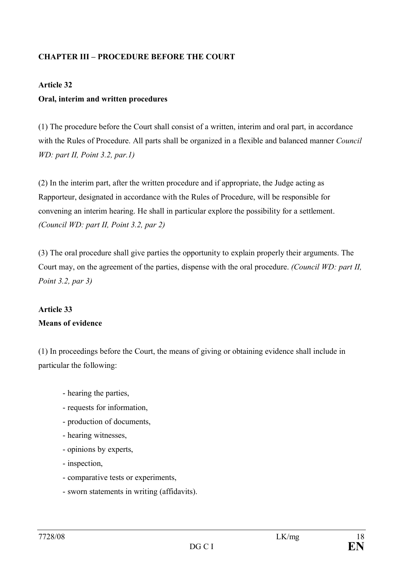#### **CHAPTER III – PROCEDURE BEFORE THE COURT**

#### **Article 32**

#### **Oral, interim and written procedures**

(1) The procedure before the Court shall consist of a written, interim and oral part, in accordance with the Rules of Procedure. All parts shall be organized in a flexible and balanced manner *Council WD: part II, Point 3.2, par.1)*

(2) In the interim part, after the written procedure and if appropriate, the Judge acting as Rapporteur, designated in accordance with the Rules of Procedure, will be responsible for convening an interim hearing. He shall in particular explore the possibility for a settlement. *(Council WD: part II, Point 3.2, par 2)*

(3) The oral procedure shall give parties the opportunity to explain properly their arguments. The Court may, on the agreement of the parties, dispense with the oral procedure. *(Council WD: part II, Point 3.2, par 3)*

## **Article 33 Means of evidence**

(1) In proceedings before the Court, the means of giving or obtaining evidence shall include in particular the following:

- hearing the parties,
- requests for information,
- production of documents,
- hearing witnesses,
- opinions by experts,
- inspection,
- comparative tests or experiments,
- sworn statements in writing (affidavits).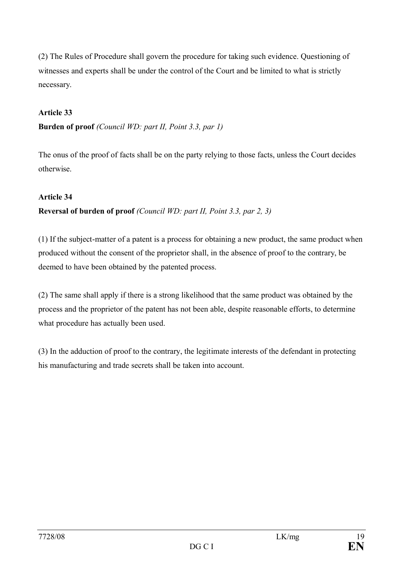(2) The Rules of Procedure shall govern the procedure for taking such evidence. Questioning of witnesses and experts shall be under the control of the Court and be limited to what is strictly necessary.

#### **Article 33**

**Burden of proof** *(Council WD: part II, Point 3.3, par 1)*

The onus of the proof of facts shall be on the party relying to those facts, unless the Court decides otherwise.

#### **Article 34**

#### **Reversal of burden of proof** *(Council WD: part II, Point 3.3, par 2, 3)*

(1) If the subject-matter of a patent is a process for obtaining a new product, the same product when produced without the consent of the proprietor shall, in the absence of proof to the contrary, be deemed to have been obtained by the patented process.

(2) The same shall apply if there is a strong likelihood that the same product was obtained by the process and the proprietor of the patent has not been able, despite reasonable efforts, to determine what procedure has actually been used.

(3) In the adduction of proof to the contrary, the legitimate interests of the defendant in protecting his manufacturing and trade secrets shall be taken into account.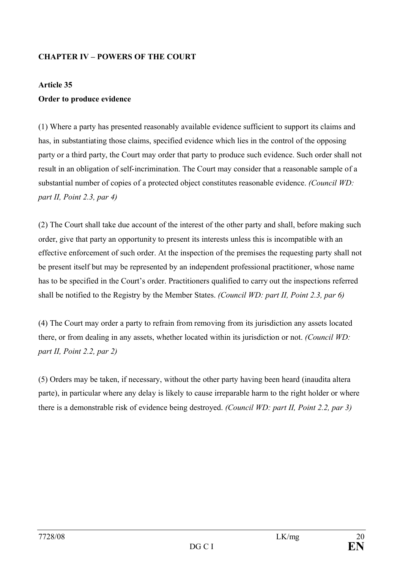#### **CHAPTER IV – POWERS OF THE COURT**

#### **Article 35**

#### **Order to produce evidence**

(1) Where a party has presented reasonably available evidence sufficient to support its claims and has, in substantiating those claims, specified evidence which lies in the control of the opposing party or a third party, the Court may order that party to produce such evidence. Such order shall not result in an obligation of self-incrimination. The Court may consider that a reasonable sample of a substantial number of copies of a protected object constitutes reasonable evidence. *(Council WD: part II, Point 2.3, par 4)*

(2) The Court shall take due account of the interest of the other party and shall, before making such order, give that party an opportunity to present its interests unless this is incompatible with an effective enforcement of such order. At the inspection of the premises the requesting party shall not be present itself but may be represented by an independent professional practitioner, whose name has to be specified in the Court's order. Practitioners qualified to carry out the inspections referred shall be notified to the Registry by the Member States. *(Council WD: part II, Point 2.3, par 6)*

(4) The Court may order a party to refrain from removing from its jurisdiction any assets located there, or from dealing in any assets, whether located within its jurisdiction or not. *(Council WD: part II, Point 2.2, par 2)*

(5) Orders may be taken, if necessary, without the other party having been heard (inaudita altera parte), in particular where any delay is likely to cause irreparable harm to the right holder or where there is a demonstrable risk of evidence being destroyed. *(Council WD: part II, Point 2.2, par 3)*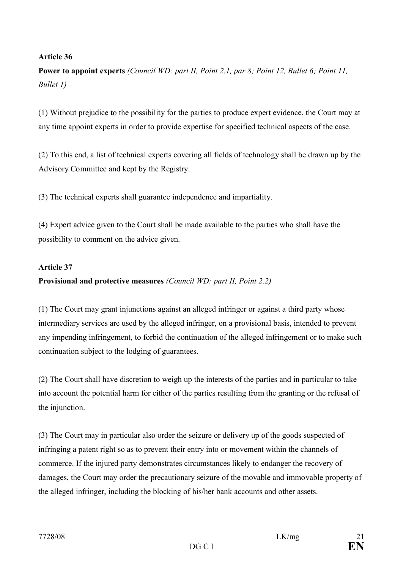#### **Article 36**

**Power to appoint experts** *(Council WD: part II, Point 2.1, par 8; Point 12, Bullet 6; Point 11, Bullet 1)*

(1) Without prejudice to the possibility for the parties to produce expert evidence, the Court may at any time appoint experts in order to provide expertise for specified technical aspects of the case.

(2) To this end, a list of technical experts covering all fields of technology shall be drawn up by the Advisory Committee and kept by the Registry.

(3) The technical experts shall guarantee independence and impartiality.

(4) Expert advice given to the Court shall be made available to the parties who shall have the possibility to comment on the advice given.

#### **Article 37**

#### **Provisional and protective measures** *(Council WD: part II, Point 2.2)*

(1) The Court may grant injunctions against an alleged infringer or against a third party whose intermediary services are used by the alleged infringer, on a provisional basis, intended to prevent any impending infringement, to forbid the continuation of the alleged infringement or to make such continuation subject to the lodging of guarantees.

(2) The Court shall have discretion to weigh up the interests of the parties and in particular to take into account the potential harm for either of the parties resulting from the granting or the refusal of the injunction.

(3) The Court may in particular also order the seizure or delivery up of the goods suspected of infringing a patent right so as to prevent their entry into or movement within the channels of commerce. If the injured party demonstrates circumstances likely to endanger the recovery of damages, the Court may order the precautionary seizure of the movable and immovable property of the alleged infringer, including the blocking of his/her bank accounts and other assets.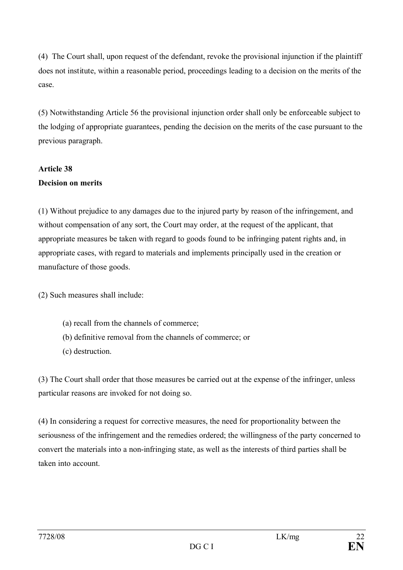(4) The Court shall, upon request of the defendant, revoke the provisional injunction if the plaintiff does not institute, within a reasonable period, proceedings leading to a decision on the merits of the case.

(5) Notwithstanding Article 56 the provisional injunction order shall only be enforceable subject to the lodging of appropriate guarantees, pending the decision on the merits of the case pursuant to the previous paragraph.

## **Article 38 Decision on merits**

(1) Without prejudice to any damages due to the injured party by reason of the infringement, and without compensation of any sort, the Court may order, at the request of the applicant, that appropriate measures be taken with regard to goods found to be infringing patent rights and, in appropriate cases, with regard to materials and implements principally used in the creation or manufacture of those goods.

(2) Such measures shall include:

- (a) recall from the channels of commerce;
- (b) definitive removal from the channels of commerce; or
- (c) destruction.

(3) The Court shall order that those measures be carried out at the expense of the infringer, unless particular reasons are invoked for not doing so.

(4) In considering a request for corrective measures, the need for proportionality between the seriousness of the infringement and the remedies ordered; the willingness of the party concerned to convert the materials into a non-infringing state, as well as the interests of third parties shall be taken into account.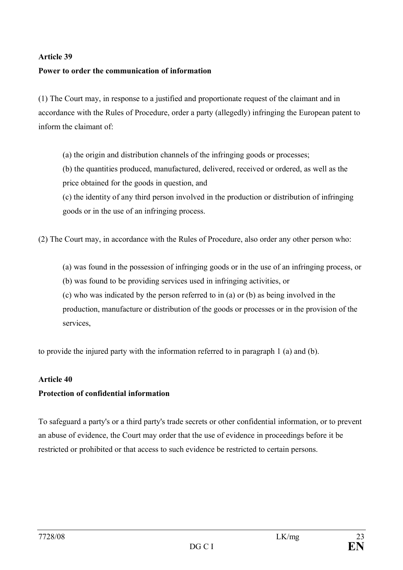#### **Article 39**

#### **Power to order the communication of information**

(1) The Court may, in response to a justified and proportionate request of the claimant and in accordance with the Rules of Procedure, order a party (allegedly) infringing the European patent to inform the claimant of:

(a) the origin and distribution channels of the infringing goods or processes;

(b) the quantities produced, manufactured, delivered, received or ordered, as well as the price obtained for the goods in question, and

(c) the identity of any third person involved in the production or distribution of infringing goods or in the use of an infringing process.

(2) The Court may, in accordance with the Rules of Procedure, also order any other person who:

- (a) was found in the possession of infringing goods or in the use of an infringing process, or
- (b) was found to be providing services used in infringing activities, or

(c) who was indicated by the person referred to in (a) or (b) as being involved in the production, manufacture or distribution of the goods or processes or in the provision of the services,

to provide the injured party with the information referred to in paragraph 1 (a) and (b).

#### **Article 40**

#### **Protection of confidential information**

To safeguard a party's or a third party's trade secrets or other confidential information, or to prevent an abuse of evidence, the Court may order that the use of evidence in proceedings before it be restricted or prohibited or that access to such evidence be restricted to certain persons.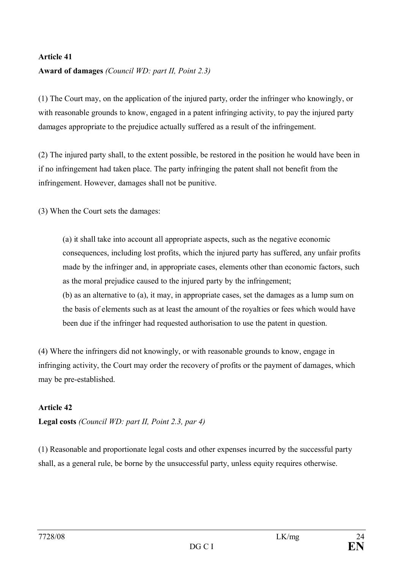#### **Article 41**

#### **Award of damages** *(Council WD: part II, Point 2.3)*

(1) The Court may, on the application of the injured party, order the infringer who knowingly, or with reasonable grounds to know, engaged in a patent infringing activity, to pay the injured party damages appropriate to the prejudice actually suffered as a result of the infringement.

(2) The injured party shall, to the extent possible, be restored in the position he would have been in if no infringement had taken place. The party infringing the patent shall not benefit from the infringement. However, damages shall not be punitive.

(3) When the Court sets the damages:

(a) it shall take into account all appropriate aspects, such as the negative economic consequences, including lost profits, which the injured party has suffered, any unfair profits made by the infringer and, in appropriate cases, elements other than economic factors, such as the moral prejudice caused to the injured party by the infringement; (b) as an alternative to (a), it may, in appropriate cases, set the damages as a lump sum on the basis of elements such as at least the amount of the royalties or fees which would have been due if the infringer had requested authorisation to use the patent in question.

(4) Where the infringers did not knowingly, or with reasonable grounds to know, engage in infringing activity, the Court may order the recovery of profits or the payment of damages, which may be pre-established.

#### **Article 42**

**Legal costs** *(Council WD: part II, Point 2.3, par 4)*

(1) Reasonable and proportionate legal costs and other expenses incurred by the successful party shall, as a general rule, be borne by the unsuccessful party, unless equity requires otherwise.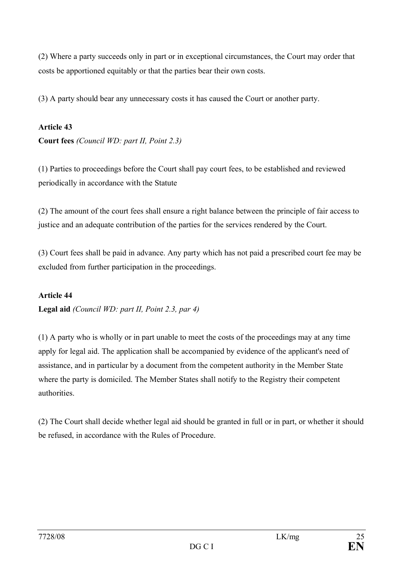(2) Where a party succeeds only in part or in exceptional circumstances, the Court may order that costs be apportioned equitably or that the parties bear their own costs.

(3) A party should bear any unnecessary costs it has caused the Court or another party.

#### **Article 43**

**Court fees** *(Council WD: part II, Point 2.3)*

(1) Parties to proceedings before the Court shall pay court fees, to be established and reviewed periodically in accordance with the Statute

(2) The amount of the court fees shall ensure a right balance between the principle of fair access to justice and an adequate contribution of the parties for the services rendered by the Court.

(3) Court fees shall be paid in advance. Any party which has not paid a prescribed court fee may be excluded from further participation in the proceedings.

#### **Article 44**

**Legal aid** *(Council WD: part II, Point 2.3, par 4)*

(1) A party who is wholly or in part unable to meet the costs of the proceedings may at any time apply for legal aid. The application shall be accompanied by evidence of the applicant's need of assistance, and in particular by a document from the competent authority in the Member State where the party is domiciled. The Member States shall notify to the Registry their competent authorities.

(2) The Court shall decide whether legal aid should be granted in full or in part, or whether it should be refused, in accordance with the Rules of Procedure.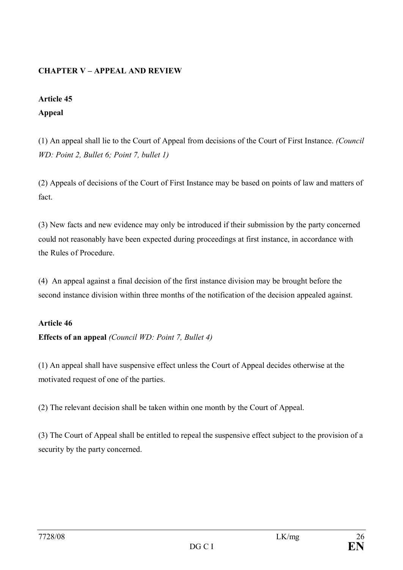#### **CHAPTER V – APPEAL AND REVIEW**

#### **Article 45**

#### **Appeal**

(1) An appeal shall lie to the Court of Appeal from decisions of the Court of First Instance. *(Council WD: Point 2, Bullet 6; Point 7, bullet 1)*

(2) Appeals of decisions of the Court of First Instance may be based on points of law and matters of fact.

(3) New facts and new evidence may only be introduced if their submission by the party concerned could not reasonably have been expected during proceedings at first instance, in accordance with the Rules of Procedure.

(4) An appeal against a final decision of the first instance division may be brought before the second instance division within three months of the notification of the decision appealed against.

## **Article 46 Effects of an appeal** *(Council WD: Point 7, Bullet 4)*

(1) An appeal shall have suspensive effect unless the Court of Appeal decides otherwise at the motivated request of one of the parties.

(2) The relevant decision shall be taken within one month by the Court of Appeal.

(3) The Court of Appeal shall be entitled to repeal the suspensive effect subject to the provision of a security by the party concerned.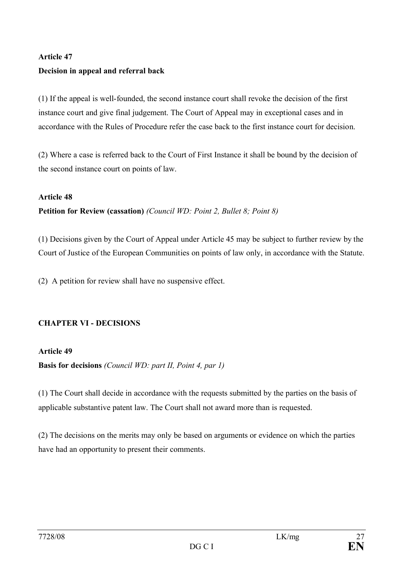# **Article 47 Decision in appeal and referral back**

(1) If the appeal is well-founded, the second instance court shall revoke the decision of the first instance court and give final judgement. The Court of Appeal may in exceptional cases and in accordance with the Rules of Procedure refer the case back to the first instance court for decision.

(2) Where a case is referred back to the Court of First Instance it shall be bound by the decision of the second instance court on points of law.

#### **Article 48**

**Petition for Review (cassation)** *(Council WD: Point 2, Bullet 8; Point 8)*

(1) Decisions given by the Court of Appeal under Article 45 may be subject to further review by the Court of Justice of the European Communities on points of law only, in accordance with the Statute.

(2) A petition for review shall have no suspensive effect.

#### **CHAPTER VI - DECISIONS**

**Article 49 Basis for decisions** *(Council WD: part II, Point 4, par 1)*

(1) The Court shall decide in accordance with the requests submitted by the parties on the basis of applicable substantive patent law. The Court shall not award more than is requested.

(2) The decisions on the merits may only be based on arguments or evidence on which the parties have had an opportunity to present their comments.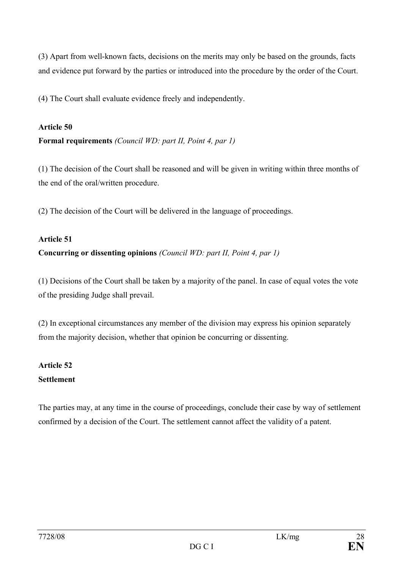(3) Apart from well-known facts, decisions on the merits may only be based on the grounds, facts and evidence put forward by the parties or introduced into the procedure by the order of the Court.

(4) The Court shall evaluate evidence freely and independently.

#### **Article 50**

**Formal requirements** *(Council WD: part II, Point 4, par 1)*

(1) The decision of the Court shall be reasoned and will be given in writing within three months of the end of the oral/written procedure.

(2) The decision of the Court will be delivered in the language of proceedings.

#### **Article 51**

## **Concurring or dissenting opinions** *(Council WD: part II, Point 4, par 1)*

(1) Decisions of the Court shall be taken by a majority of the panel. In case of equal votes the vote of the presiding Judge shall prevail.

(2) In exceptional circumstances any member of the division may express his opinion separately from the majority decision, whether that opinion be concurring or dissenting.

## **Article 52 Settlement**

The parties may, at any time in the course of proceedings, conclude their case by way of settlement confirmed by a decision of the Court. The settlement cannot affect the validity of a patent.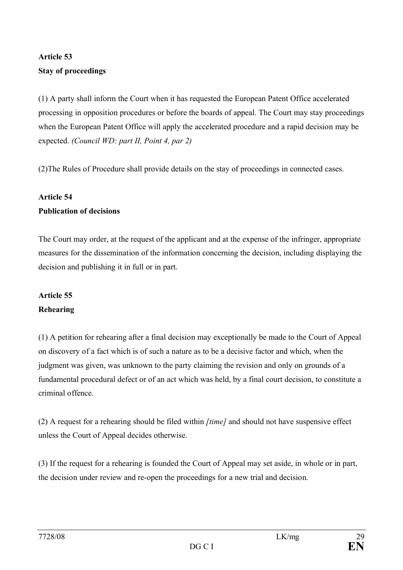## **Article 53 Stay of proceedings**

(1) A party shall inform the Court when it has requested the European Patent Office accelerated processing in opposition procedures or before the boards of appeal. The Court may stay proceedings when the European Patent Office will apply the accelerated procedure and a rapid decision may be expected. *(Council WD: part II, Point 4, par 2)*

(2)The Rules of Procedure shall provide details on the stay of proceedings in connected cases.

#### **Article 54**

#### **Publication of decisions**

The Court may order, at the request of the applicant and at the expense of the infringer, appropriate measures for the dissemination of the information concerning the decision, including displaying the decision and publishing it in full or in part.

## **Article 55 Rehearing**

(1) A petition for rehearing after a final decision may exceptionally be made to the Court of Appeal on discovery of a fact which is of such a nature as to be a decisive factor and which, when the judgment was given, was unknown to the party claiming the revision and only on grounds of a fundamental procedural defect or of an act which was held, by a final court decision, to constitute a criminal offence.

(2) A request for a rehearing should be filed within *[time]* and should not have suspensive effect unless the Court of Appeal decides otherwise.

(3) If the request for a rehearing is founded the Court of Appeal may set aside, in whole or in part, the decision under review and re-open the proceedings for a new trial and decision.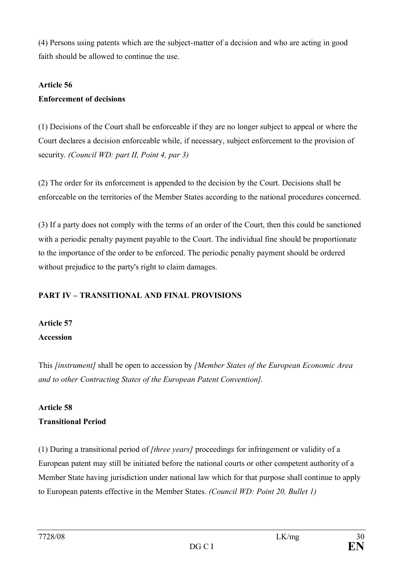(4) Persons using patents which are the subject-matter of a decision and who are acting in good faith should be allowed to continue the use.

#### **Article 56**

#### **Enforcement of decisions**

(1) Decisions of the Court shall be enforceable if they are no longer subject to appeal or where the Court declares a decision enforceable while, if necessary, subject enforcement to the provision of security. *(Council WD: part II, Point 4, par 3)*

(2) The order for its enforcement is appended to the decision by the Court. Decisions shall be enforceable on the territories of the Member States according to the national procedures concerned.

(3) If a party does not comply with the terms of an order of the Court, then this could be sanctioned with a periodic penalty payment payable to the Court. The individual fine should be proportionate to the importance of the order to be enforced. The periodic penalty payment should be ordered without prejudice to the party's right to claim damages.

## **PART IV – TRANSITIONAL AND FINAL PROVISIONS**

## **Article 57 Accession**

This *[instrument]* shall be open to accession by *[Member States of the European Economic Area and to other Contracting States of the European Patent Convention].*

# **Article 58**

#### **Transitional Period**

(1) During a transitional period of *[three years]* proceedings for infringement or validity of a European patent may still be initiated before the national courts or other competent authority of a Member State having jurisdiction under national law which for that purpose shall continue to apply to European patents effective in the Member States. *(Council WD: Point 20, Bullet 1)*